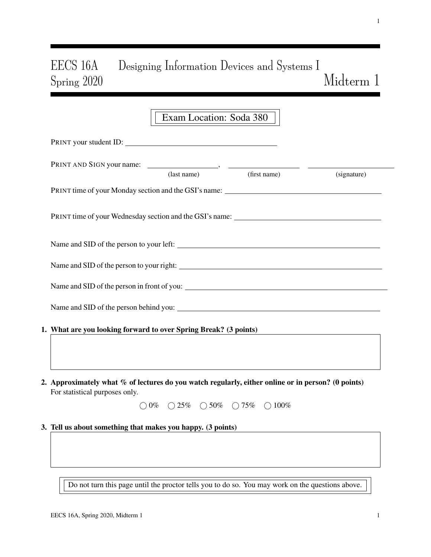# EECS 16A Designing Information Devices and Systems I  $\operatorname{Miderm}$  1

|                                                                                                                                      | Exam Location: Soda 380                                                         |             |
|--------------------------------------------------------------------------------------------------------------------------------------|---------------------------------------------------------------------------------|-------------|
| PRINT your student ID:                                                                                                               |                                                                                 |             |
| PRINT AND SIGN your name: (last name) (first name) (first name)                                                                      |                                                                                 | (signature) |
|                                                                                                                                      |                                                                                 |             |
| PRINT time of your Wednesday section and the GSI's name: ________________________                                                    |                                                                                 |             |
|                                                                                                                                      |                                                                                 |             |
|                                                                                                                                      |                                                                                 |             |
|                                                                                                                                      |                                                                                 |             |
|                                                                                                                                      |                                                                                 |             |
| 1. What are you looking forward to over Spring Break? (3 points)                                                                     |                                                                                 |             |
| 2. Approximately what % of lectures do you watch regularly, either online or in person? (0 points)<br>For statistical purposes only. |                                                                                 |             |
|                                                                                                                                      | $\bigcirc 0\%$ $\bigcirc 25\%$ $\bigcirc 50\%$ $\bigcirc 75\%$ $\bigcirc 100\%$ |             |
| 3. Tell us about something that makes you happy. (3 points)                                                                          |                                                                                 |             |
|                                                                                                                                      |                                                                                 |             |
|                                                                                                                                      |                                                                                 |             |
| Do not turn this page until the proctor tells you to do so. You may work on the questions above.                                     |                                                                                 |             |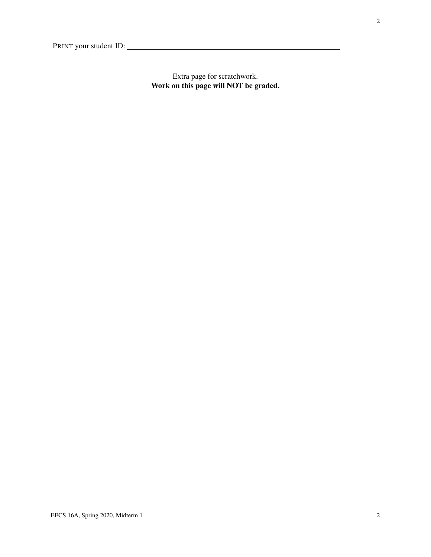Extra page for scratchwork. Work on this page will NOT be graded.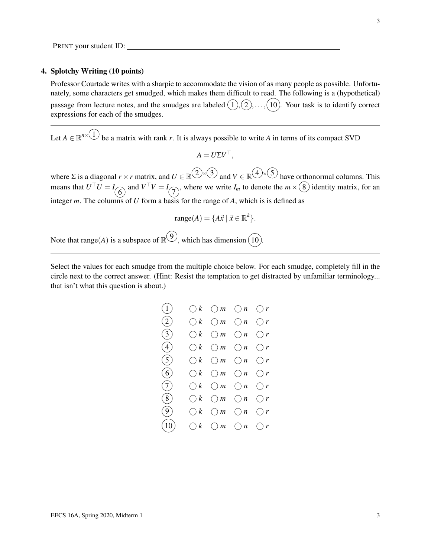#### 4. Splotchy Writing (10 points)

Professor Courtade writes with a sharpie to accommodate the vision of as many people as possible. Unfortunately, some characters get smudged, which makes them difficult to read. The following is a (hypothetical) passage from lecture notes, and the smudges are labeled  $(1), (2), \ldots, (10)$ . Your task is to identify correct expressions for each of the smudges.

Let  $A \in \mathbb{R}^{n \times (1)}$  be a matrix with rank *r*. It is always possible to write *A* in terms of its compact SVD

$$
A = U\Sigma V^{\top},
$$

where  $\Sigma$  is a diagonal  $r \times r$  matrix, and  $U \in \mathbb{R}^{(1) \times (3)}$  and  $V \in \mathbb{R}^{(4) \times (5)}$  have orthonormal columns. This means that  $U^{\perp}U = I_{\widehat{O}}$  and  $V^{\perp}V = I_{\widehat{O}}$ , where we write  $I_m$  to denote the  $m \times (8)$  identity matrix, for an integer *m*. The columns of *U* form a basis for the range of *A*, which is is defined as

$$
\text{range}(A) = \{A\vec{x} \mid \vec{x} \in \mathbb{R}^k\}.
$$

Note that range(*A*) is a subspace of  $\mathbb{R}^{(9)}$ , which has dimension  $(10)$ .

Select the values for each smudge from the multiple choice below. For each smudge, completely fill in the circle next to the correct answer. (Hint: Resist the temptation to get distracted by unfamiliar terminology... that isn't what this question is about.)

| $\left( 1\right)$ | $\bigcirc k$ $\bigcirc m$ $\bigcirc n$ $\bigcirc r$ |                           |  |
|-------------------|-----------------------------------------------------|---------------------------|--|
| (2)               | $\bigcirc k$ $\bigcirc m$ $\bigcirc n$ $\bigcirc r$ |                           |  |
| (3)               | $\bigcirc k$ $\bigcirc m$ $\bigcirc n$ $\bigcirc r$ |                           |  |
| (4)               | $\bigcirc k$ $\bigcirc m$                           | $\bigcirc n$ $\bigcirc r$ |  |
| (5)               | $\bigcirc k$ $\bigcirc m$                           | $\bigcirc n$ $\bigcirc r$ |  |
| (6)               | $\bigcirc k$ $\bigcirc m$ $\bigcirc n$ $\bigcirc r$ |                           |  |
| (7)               | $\bigcirc k$ $\bigcirc m$ $\bigcirc n$ $\bigcirc r$ |                           |  |
| (8)               | $\bigcirc k$ $\bigcirc m$                           | $\bigcirc n$ $\bigcirc r$ |  |
| (9)               | $\bigcirc k$ $\bigcirc m$ $\bigcirc n$ $\bigcirc r$ |                           |  |
| $\left(10\right)$ | $\bigcirc k$ $\bigcirc m$ $\bigcirc n$ $\bigcirc r$ |                           |  |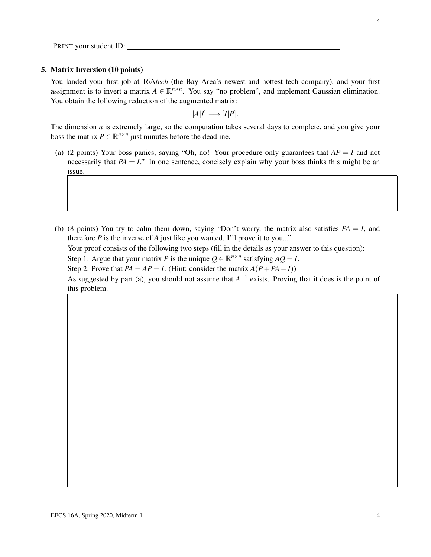#### 5. Matrix Inversion (10 points)

You landed your first job at 16A*tech* (the Bay Area's newest and hottest tech company), and your first assignment is to invert a matrix  $A \in \mathbb{R}^{n \times n}$ . You say "no problem", and implement Gaussian elimination. You obtain the following reduction of the augmented matrix:

$$
[A|I] \longrightarrow [I|P].
$$

The dimension *n* is extremely large, so the computation takes several days to complete, and you give your boss the matrix  $P \in \mathbb{R}^{n \times n}$  just minutes before the deadline.

- (a) (2 points) Your boss panics, saying "Oh, no! Your procedure only guarantees that  $AP = I$  and not necessarily that  $PA = I$ ." In one sentence, concisely explain why your boss thinks this might be an issue.
- (b) (8 points) You try to calm them down, saying "Don't worry, the matrix also satisfies  $PA = I$ , and therefore  $P$  is the inverse of  $A$  just like you wanted. I'll prove it to you..."

Your proof consists of the following two steps (fill in the details as your answer to this question):

Step 1: Argue that your matrix *P* is the unique  $Q \in \mathbb{R}^{n \times n}$  satisfying  $AQ = I$ .

Step 2: Prove that  $PA = AP = I$ . (Hint: consider the matrix  $A(P + PA - I)$ )

As suggested by part (a), you should not assume that  $A^{-1}$  exists. Proving that it does is the point of this problem.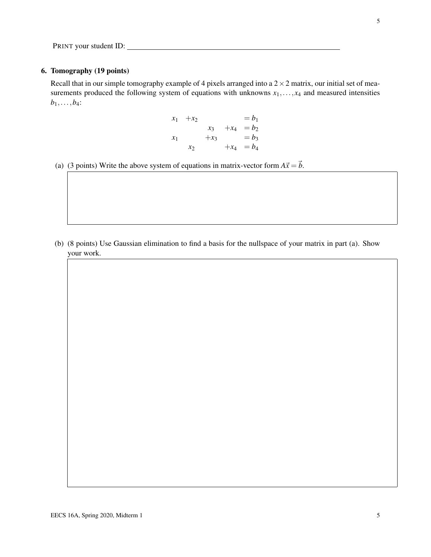#### 6. Tomography (19 points)

Recall that in our simple tomography example of 4 pixels arranged into a  $2 \times 2$  matrix, our initial set of measurements produced the following system of equations with unknowns  $x_1, \ldots, x_4$  and measured intensities  $b_1, \ldots, b_4$ :

$$
x_1 + x_2 = b_1
$$
  
\n
$$
x_3 + x_4 = b_2
$$
  
\n
$$
x_1 + x_3 = b_3
$$
  
\n
$$
x_2 + x_4 = b_4
$$

(a) (3 points) Write the above system of equations in matrix-vector form  $A\vec{x} = \vec{b}$ .

(b) (8 points) Use Gaussian elimination to find a basis for the nullspace of your matrix in part (a). Show your work.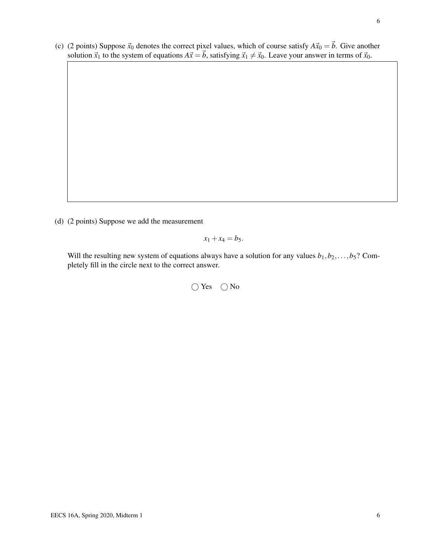(c) (2 points) Suppose  $\vec{x}_0$  denotes the correct pixel values, which of course satisfy  $A\vec{x}_0 = \vec{b}$ . Give another solution  $\vec{x}_1$  to the system of equations  $A\vec{x} = \vec{b}$ , satisfying  $\vec{x}_1 \neq \vec{x}_0$ . Leave your answer in terms of  $\vec{x}_0$ .

(d) (2 points) Suppose we add the measurement

$$
x_1+x_4=b_5.
$$

Will the resulting new system of equations always have a solution for any values  $b_1, b_2, \ldots, b_5$ ? Completely fill in the circle next to the correct answer.

 $\bigcap$  Yes  $\bigcap$  No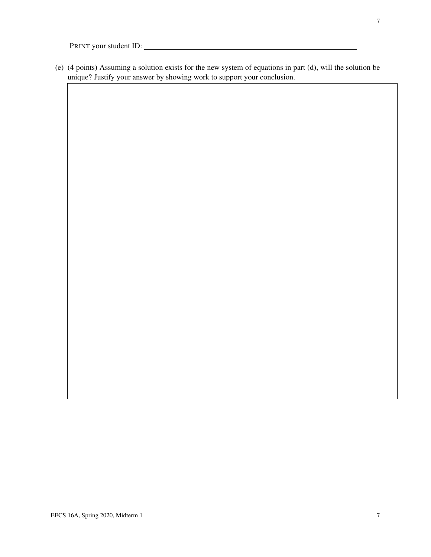(e) (4 points) Assuming a solution exists for the new system of equations in part (d), will the solution be unique? Justify your answer by showing work to support your conclusion.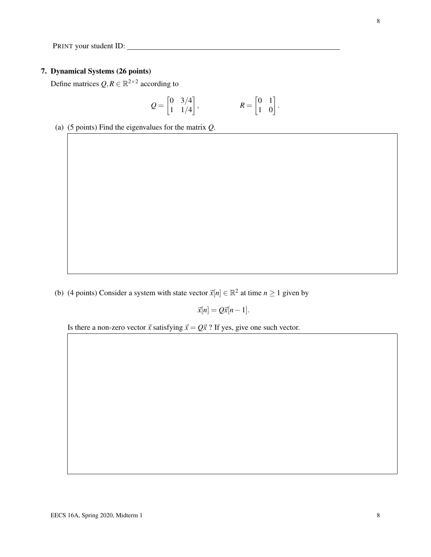# 7. Dynamical Systems (26 points)

Define matrices  $Q, R \in \mathbb{R}^{2 \times 2}$  according to

$$
Q = \begin{bmatrix} 0 & 3/4 \\ 1 & 1/4 \end{bmatrix}, \qquad R = \begin{bmatrix} 0 & 1 \\ 1 & 0 \end{bmatrix}.
$$

(a) (5 points) Find the eigenvalues for the matrix *Q*.

(b) (4 points) Consider a system with state vector  $\vec{x}[n] \in \mathbb{R}^2$  at time  $n \ge 1$  given by

 $\vec{x}[n] = Q\vec{x}[n-1].$ 

Is there a non-zero vector  $\vec{x}$  satisfying  $\vec{x} = Q\vec{x}$  ? If yes, give one such vector.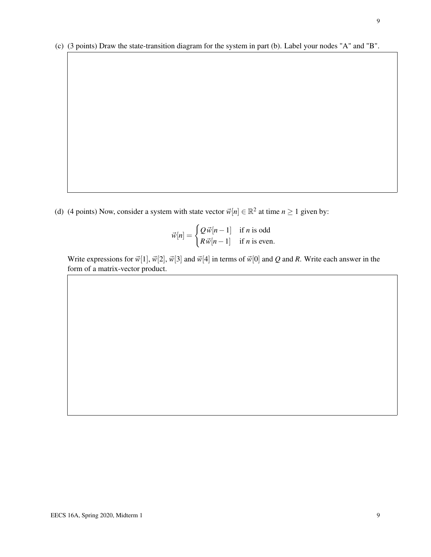(c) (3 points) Draw the state-transition diagram for the system in part (b). Label your nodes "A" and "B".

(d) (4 points) Now, consider a system with state vector  $\vec{w}[n] \in \mathbb{R}^2$  at time  $n \ge 1$  given by:

$$
\vec{w}[n] = \begin{cases} Q \, \vec{w}[n-1] & \text{if } n \text{ is odd} \\ R \, \vec{w}[n-1] & \text{if } n \text{ is even.} \end{cases}
$$

Write expressions for  $\vec{w}[1], \vec{w}[2], \vec{w}[3]$  and  $\vec{w}[4]$  in terms of  $\vec{w}[0]$  and *Q* and *R*. Write each answer in the form of a matrix-vector product.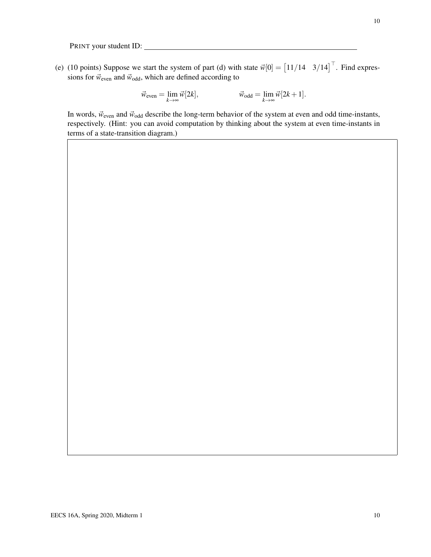(e) (10 points) Suppose we start the system of part (d) with state  $\vec{w}[0] = \begin{bmatrix} 11/14 & 3/14 \end{bmatrix}^{\top}$ . Find expressions for  $\vec{w}_{even}$  and  $\vec{w}_{odd}$ , which are defined according to

$$
\vec{w}_{\text{even}} = \lim_{k \to \infty} \vec{w}[2k], \qquad \qquad \vec{w}_{\text{odd}} = \lim_{k \to \infty} \vec{w}[2k+1].
$$

In words,  $\vec{w}_{even}$  and  $\vec{w}_{odd}$  describe the long-term behavior of the system at even and odd time-instants, respectively. (Hint: you can avoid computation by thinking about the system at even time-instants in terms of a state-transition diagram.)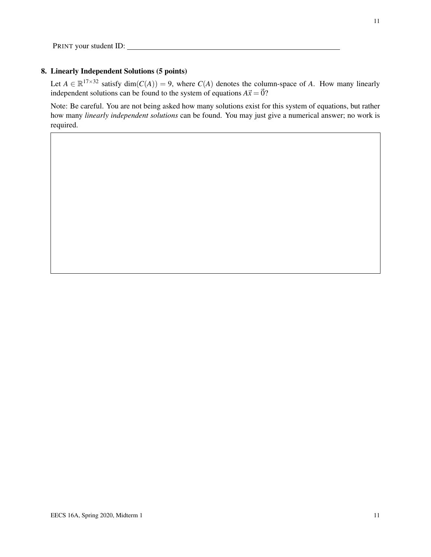### 8. Linearly Independent Solutions (5 points)

Let  $A \in \mathbb{R}^{17 \times 32}$  satisfy dim( $C(A)$ ) = 9, where  $C(A)$  denotes the column-space of *A*. How many linearly independent solutions can be found to the system of equations  $A\vec{x} = \vec{0}$ ?

Note: Be careful. You are not being asked how many solutions exist for this system of equations, but rather how many *linearly independent solutions* can be found. You may just give a numerical answer; no work is required.

11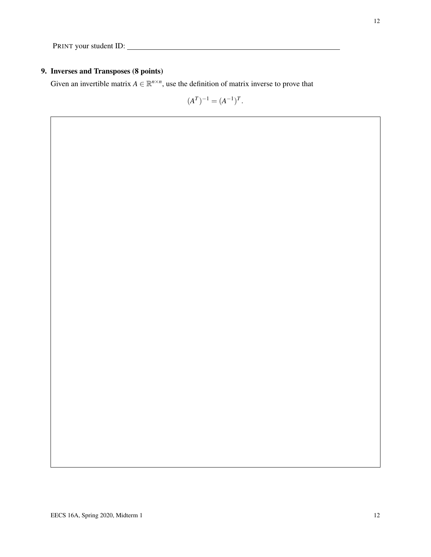# 9. Inverses and Transposes (8 points)

Given an invertible matrix  $A \in \mathbb{R}^{n \times n}$ , use the definition of matrix inverse to prove that

$$
(A^T)^{-1} = (A^{-1})^T.
$$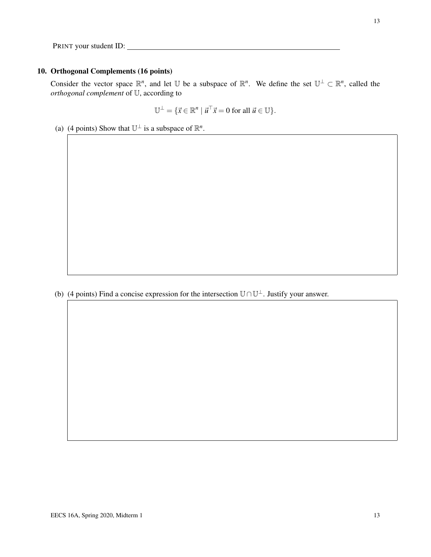## 10. Orthogonal Complements (16 points)

Consider the vector space  $\mathbb{R}^n$ , and let U be a subspace of  $\mathbb{R}^n$ . We define the set  $\mathbb{U}^{\perp} \subset \mathbb{R}^n$ , called the *orthogonal complement* of U, according to

$$
\mathbb{U}^{\perp} = \{ \vec{x} \in \mathbb{R}^n \mid \vec{u}^{\top} \vec{x} = 0 \text{ for all } \vec{u} \in \mathbb{U} \}.
$$

(a) (4 points) Show that  $\mathbb{U}^{\perp}$  is a subspace of  $\mathbb{R}^{n}$ .

(b) (4 points) Find a concise expression for the intersection  $\mathbb{U} \cap \mathbb{U}^{\perp}$ . Justify your answer.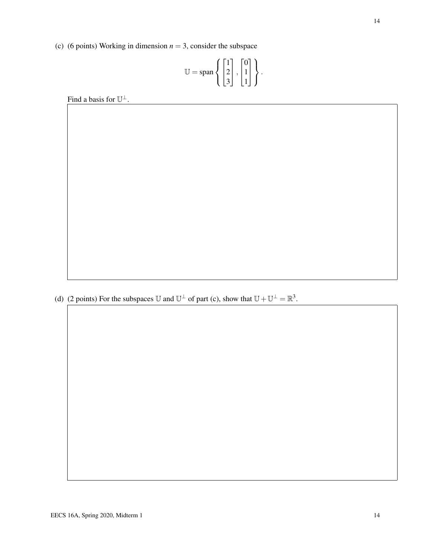(c) (6 points) Working in dimension  $n = 3$ , consider the subspace

$$
\mathbb{U} = \text{span}\left\{ \begin{bmatrix} 1 \\ 2 \\ 3 \end{bmatrix}, \begin{bmatrix} 0 \\ 1 \\ 1 \end{bmatrix} \right\}.
$$

Find a basis for  $\mathbb{U}^{\perp}$ .

(d) (2 points) For the subspaces U and  $\mathbb{U}^{\perp}$  of part (c), show that  $\mathbb{U} + \mathbb{U}^{\perp} = \mathbb{R}^{3}$ .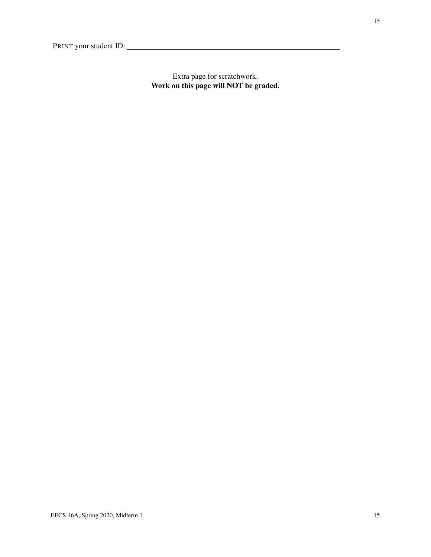Extra page for scratchwork. Work on this page will NOT be graded.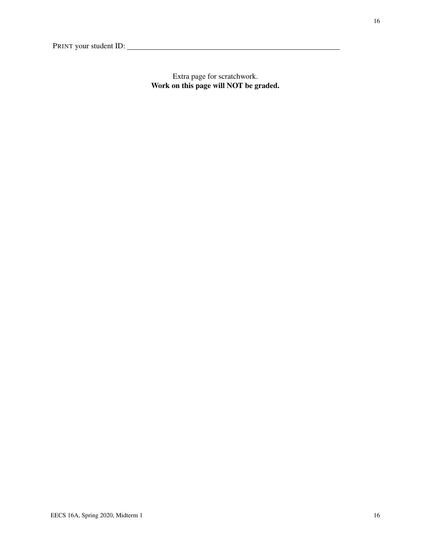Extra page for scratchwork. Work on this page will NOT be graded.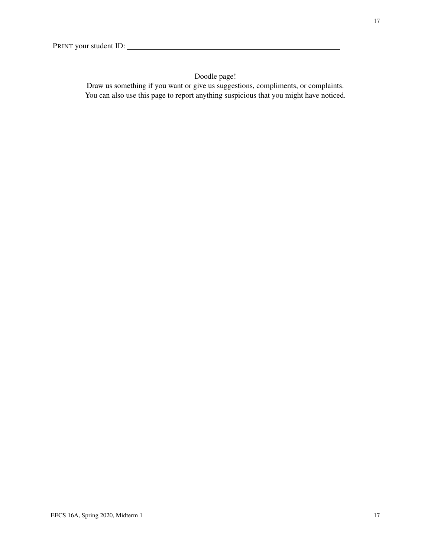# Doodle page!

Draw us something if you want or give us suggestions, compliments, or complaints. You can also use this page to report anything suspicious that you might have noticed.